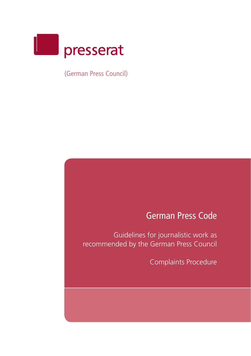

(German Press Council)

# German Press Code

Guidelines for journalistic work as recommended by the German Press Council

Complaints Procedure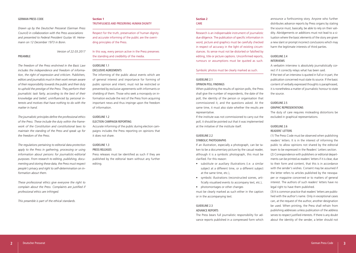#### GERMAN PRESS CODE

*Drawn up by the Deutscher Presserat (German Press Council) in collaboration with the Press associations and presented to Federal President Gustav W. Heinemann on 12 December 1973 in Bonn.*

*Version of 22.03.2017*

#### PREAMBLE

*The freedom of the Press enshrined in the Basic Law includes the independence and freedom of information, the right of expression and criticism. Publishers, editors and journalists must in their work remain aware of their responsibility towards the public and their duty to uphold the prestige of the Press. They perform their journalistic task fairly, according to the best of their knowledge and belief, uninfluenced by personal interests and motives that have nothing to do with the matter in hand.* 

*The journalistic principles define the professional ethics of the Press. These include the duty within the framework of the Constitution and constitutional laws to maintain the standing of the Press and speak up for the freedom of the Press.*

*The regulations pertaining to editorial data protection apply to the Press in gathering, processing or using information about persons for journalistic-editorial purposes. From research to editing, publishing, documenting and storing these data, the Press must respect people's privacy and right to self-determination on information about them.*

*These professional ethics give everyone the right to complain about the Press. Complaints are justified if professional ethics are infringed.*

*This preamble is part of the ethical standards.*

#### **Section 1** TRUTHEULNESS AND PRESERVING HUMAN DIGNITY

Respect for the truth, preservation of human dignity and accurate informing of the public are the overriding principles of the Press.

In this way, every person active in the Press preserves the standing and credibility of the media.

### GUIDELINE 1.1 EXCLUSIVE AGREEMENTS

The informing of the public about events which are of general interest and importance for forming of public opinion and intent, must not be restricted or prevented by exclusive agreements with informants or shielding of them. Those who seek a monopoly on information exclude the rest of the Press from acquiring important news and thus impinge upon the freedom of information.

## GUIDELINE 1.2

ELECTION CAMPAIGN REPORTING

Accurate informing of the public during election campaigns includes the Press reporting on opinions that it does not share.

## GUIDELINE 1.3

#### PRESS RELEASES

Press releases must be identified as such if they are published by the editorial team without any further editing.

#### **Section 2** CARE

Research is an indispensable instrument of journalistic due diligence. The publication of specific information in word, picture and graphics must be carefully checked in respect of accuracy in the light of existing circumstances. Its sense must not be distorted or falsified by editing, title or picture captions. Unconfirmed reports, rumours or assumptions must be quoted as such.

#### Symbolic photos must be clearly marked as such.

## GUIDELINE 2.1

#### OPINION POLL FINDINGS

When publishing the results of opinion polls, the Press shall give the number of respondents, the date of the poll, the identity of the person or organisation that commissioned it, and the questions asked. At the same time, it must also state whether the results are representative.

If the institute was not commissioned to carry out the poll, it should be pointed out that it was implemented at the initiative of the institute itself.

## GUIDELINE 2.2 SYMBOLIC PHOTOGRAPHS

If an illustration, especially a photograph, can be taken to be a documentary picture by the casual reader, although it is a symbolic photograph, this must be clarified. For this reason:

- substitute or auxiliary illustrations (i.e. a similar subject at a different time, or a different subject at the same time, etc.),
- symbolic illustrations (reconstructed scenes, artificially visualised events to accompany text, etc.),
- photomontages or other changes

must be clearly marked as such either in the caption or in the accompanying text.

#### GUIDELINE 2.3 ADVANCE REPORTS

The Press bears full journalistic responsibility for advance reports published in a compressed form which

announce a forthcoming story. Anyone who further distributes advance reports by Press organs by stating the source must, basically, be able to rely on their validity. Abridgements or additions must not lead to a situation where the basic elements of the story are given a new slant or prompt incorrect conclusions which may harm the legitimate interests of third parties.

## GUIDELINE 2.4 INTERVIEWS

A verbatim interview is absolutely journalistically correct if it correctly relays what has been said. If the text of an interview is quoted in full or in part, the publication concerned must state its source. If the basic content of verbally expressed thoughts is paraphrased, it is nonetheless a matter of journalistic honour to state the source.

## GUIDELINE 2.5

## GRAPHIC REPRESENTATIONS

The duty of care requires misleading distortions be excluded in graphical representations.

#### GUIDELINE 2.6 READERS' LETTERS

(1) The Press Code must be observed when publishing readers' letters. It is in the interest of informing the public to allow opinions not shared by the editorial team to be expressed in the Readers' Letters section. (2) Correspondence with publishers or editorial departments can be printed as readers' letters if it is clear, due to their form and content, that this is in accordance with the sender's wishes. Consent may be assumed if the letter refers to articles published by the newspaper or magazine concerned or to matters of general interest. The authors of such readers' letters have no legal right to have them published.

(3) It is common practice that readers' letters are published with the author's name. Only in exceptional cases can, at the request of the author, another designation be used. When printing, the Press shall refrain from publishing addresses unless publication of the address serves to respect justified interests. If there is any doubt about the identity of the sender, a letter should not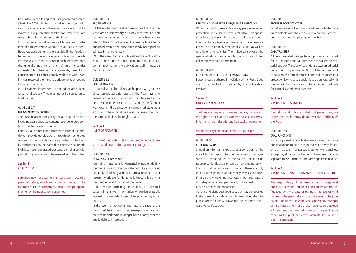be printed. When taking over user-generated content (Guideline 2.7) in the form of readers' letters, pseudonyms may be retained. However, the source must be indicated. The publication of fake readers' letters is not compatible with the duties of the Press.

(4) Changes or abridgements of letters are fundamentally impermissible without the author's consent. However, abridgements are possible if the Readers' Letters section contains a regular notice that the editor reserves the right to shorten such letters without changing the meaning of them. Should the sender expressly forbid changes or abridgements, the editorial department must either comply with that wish, even if it has reserved the right to abridgement, or decline to publish the letter.

(5) All readers' letters sent to the editor are subject to editorial secrecy. They must never be passed on to third parties.

## GUIDELINE 2.7 USER-GENERATED CONTENT

The Press bears responsibility for all its publications, including user-generated content. User-generated content must be clearly marked as such.

Editors shall ensure compliance with journalistic principles if they detect violations through user-generated content or if such violations are pointed out to them by third parties. In the event that editors select or edit individual user-generated content, compliance with journalistic principles must be ensured from the outset.

#### **Section 3 CORRECTIONS**

Published news or assertions, in particular those of a personal nature, which subsequently turn out to be incorrect must be promptly rectified in an appropriate manner by the publication concerned.

#### GUIDELINE 3.1 REQUIREMENTS

(1) The reader must be able to recognise that the previous article was wholly or partly incorrect. For this reason a correction publishing the true facts must also refer to the incorrect article. The true facts are to be published even if the error has already been publicly admitted in another way.

(2) In the case of online publications the rectification is to be linked to the original content. If the rectification is made within the publication itself, it must be marked as such.

## GUIDELINE 3.2 **DOCUMENTATION**

If journalistic-editorial research, processing or use of person-related data results in the Press having to publish corrections, retractions, refutations by the persons concerned or to a reprimand by the German Press Council, the publication involved must store them along with the original data and document them for the same period as the original data.

## **Section 4** LIMITS OF RESEARCH

Dishonest methods must not be used to acquire person-related news, information or photographs.

## GUIDELINE 4.1 PRINCIPLES OF RESEARCH

Journalists must, as a fundamental principle, identify themselves as such. Untrue statements by a journalist about his/her identity and their publication when doing research work are fundamentally irreconcilable with the standing and function of the Press.

Undercover research may be justifiable in individual cases if in this way information of particular public interest is gained which cannot be procured by other means.

In the event of accidents and natural disasters, the Press must bear in mind that emergency services for the victims and those in danger have priority over the public right to information.

## GUIDELINE 4.2

#### RESEARCH AMONG PEOPLE REQUIRING PROTECTION

When conducting research among people requiring protection, particular restraint is called for. This applies especially to people who are not in full possession of their mental or physical powers or who have been exposed to an extremely emotional situation, as well as to children and juveniles. The limited willpower or the special situation of such people must not be exploited deliberately to gain information.

## GUIDELINE 4.3

#### BLOCKING OR DELETION OF PERSONAL DATA

Personal data gathered in violation of the Press Code are to be blocked or deleted by the publication involved.

## **Section 5** PROFESSIONAL SECRECY

The Press shall respect professional secrecy, make use of the right to refuse to bear witness and shall not reveal informants' identities without their explicit permission.

#### Confidentiality is to be adhered to in principle.

## GUIDELINE 5.1

#### CONFIDENTIALITY

Should an informant stipulate, as a condition for the use of his/her report, that he/she remain unrecognisable or unendangered as the source, this is to be respected. Confidentiality can be non-binding only if the information concerns a crime and there is a duty to inform the police. Confidentiality may also be lifted if, in carefully weighing interests, important reasons of state predominate, particularly if the constitutional order is affected or jeopardised.

Actions and plans described as secret may be reported if after careful consideration it is determined that the public's need to know outweighs the reasons put forward to justify secrecy.

#### GUIDELINE 5.2 SECRET SERVICE ACTIVITIES

Secret service activities by journalists and publishers are irreconcilable with the duties stemming from professional secrecy and the prestige of the Press.

## GUIDELINE 5.3 DATA TRANSFER

All person-related data gathered, processed and used for journalistic-editorial purposes are subject to editorial secrecy. Transfer of such data between editorial departments is permissible. It is not to be done until conclusion of a formal complaint procedure under data protection law. A data transfer is to be annotated with the remark that the data is to be edited or used only for journalistic-editorial purposes.

## **Section 6** SEPARATION OF ACTIVITIES

Journalists and publishers shall not perform any activities that could throw doubt over the credibility of the Press.

#### GUIDELINE 6.1 DUAL FUNCTIONS

Should a journalist or publisher exercise another function in addition to his or her journalistic activity, for example in a government, a public authority or a business enterprise, all those involved must take care strictly to separate these functions. The same applies in reverse.

## **Section 7** SEPARATION OF ADVERTISING AND EDITORIAL CONTENT

The responsibility of the Press towards the general public requires that editorial publications are not influenced by the private or business interests of third parties or the personal economic interests of the journalists. Publishers and editors must reject any attempts of this nature and make a clear distinction between editorial and commercial content. If a publication concerns the publisher's own interests, this must be clearly identifiable.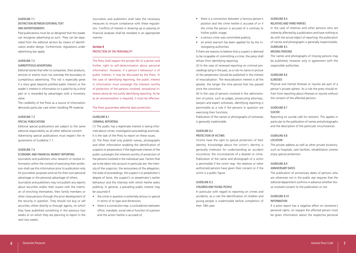## GUIDELINE 7.1 DISTINCTION BETWEEN EDITORIAL TEXT AND ADVERTISEMENTS

Paid publications must be so designed that the reader can recognise advertising as such. They can be separated from the editorial section by means of identification and/or design. Furthermore, regulations under advertising law apply.

#### GUIDELINE 7.2 SURREPTITIOUS ADVERTISING

Editorial stories that refer to companies, their products, services or events must not overstep the boundary to surreptitious advertising. This risk is especially great if a story goes beyond justified public interest or the reader's interest in information or is paid for by a third part or is rewarded by advantages with a monetary value.

The credibility of the Press as a source of information demands particular care when handling PR material.

#### GUIDELINE 7.3 SPECIAL PUBLICATIONS

Editorial special publications are subject to the same editorial responsibility as all other editorial content. Advertising special publications must respect the requirements of Guideline 7.1.

#### GUIDELINE 7.4

#### ECONOMIC AND FINANCIAL MARKET REPORTING

Journalists and publishers who research or receive information within the context of exercising their profession shall use this information prior to publication only for journalistic purposes and not for their own personal advantage or the personal advantage of others. Journalists and publishers may not publish any reports about securities and/or their issuers with the intention of enriching themselves, their family members or other close persons through the price development of the security in question. They should not buy or sell securities, either directly or through agents, on which they have published something in the previous two weeks or on which they are planning to report in the next two weeks.

Journalists and publishers shall take the necessary measures to ensure compliance with these regulations. Conflicts of interest in drawing up or passing on financial analyses shall be revealed in an appropriate manner.

#### **Section 8** PROTECTION OF THE PERSONALITY

The Press shall respect the private life of a person and his/her right to self-determination about personal information. However, if a person's behaviour is of public interest, it may be discussed by the Press. In the case of identifying reporting, the public interest in information must outweigh the interests worthy of protection of the persons involved; sensational interests alone do not justify identifying reporting. As far as an anonymization is required, it must be effective.

#### The Press guarantees editorial data protection.

#### GUIDELINE 8.1 CRIMINAL REPORTING

(1) The public has a legitimate interest in being informed about crimes, investigation proceedings and trials. It is the task of the Press to report on these issues. (2) The Press shall only publish names, photographs and other information enabling the identification of suspects or perpetrators if the legitimate interest of the public outweighs the interests worthy of protection of the persons involved in the individual case. Factors that are to be taken into account in particular are: the intensity of the suspicion, the seriousness of the allegation, the state of proceedings, the suspect's or perpetrator's degree of fame, the suspect's or perpetrator's earlier behaviour and the intensity with which he/she seeks publicity. In general, a prevailing public interest may be assumed if:

- the crime in question is extremely serious or special in terms of its type and dimension;
- there is a connection resp. a contradiction between office, mandate, social role or function of a person and the action he/she is accused of;
- there is a connection between a famous person's position and the crime he/she is accused of or if the crime the person is accused of is contrary to his/her public image;
- a serious crime was committed publicly;
- an arrest warrant has been applied for by the investigating authorities.

If there are reasons to believe that a suspect is deemed to be incapable of committing a crime, the press shall refrain from identifying reporting.

(3) In the case of renewed reporting on criminal proceedings lying in the past, as a rule no name or picture of the perpetrator should be published in the interest of resocialisation. The resocialisation interest is all the greater, the longer the time period that has passed since the conviction.

(4) In the case of persons involved in the administration of justice, such as judges, prosecuting attorneys, lawyers and expert witnesses, identifying reporting is permissible as a rule if the persons in question are exercising their functions.

Publication of the names or photographs of witnesses is generally inadmissible.

#### GUIDELINE 8.2 PROTECTION OF VICTIMS

Victims have the right to special protection of their identity. Knowledge about the victim's identity is generally irrelevant for understanding an accident occurrence, the circumstances of a disaster or crime. Publication of the name and photograph of a victim is permissible if the victim resp. the relatives or other authorized persons have given their consent or if the victim is a public figure.

## GUIDELINE 8.3

## CHILDREN AND YOUNG PEOPLE

In particular with regard to reporting on crimes and accidents, as a rule the identification of children and young people is inadmissible before completion of their 18th year.

## GUIDELINE 8.4

## RELATIVES AND THIRD PARTIES

In the case of relatives and other persons who are indirectly affected by a publication and have nothing to do with the actual object of reporting, the publication of names and photographs is generally impermissible. GUIDELINE 8.5

#### MISSING PERSONS

The names and photographs of missing persons may be published, however only in agreement with the responsible authorities.

#### GUIDELINE 8.6 **ILLNESSES**

Physical and mental illnesses or injuries are part of a person's private sphere. As a rule the press should refrain from reporting about illnesses or injuries without the consent of the affected persons.

## GUIDELINE 8.7

#### SUICIDE

Reporting on suicide calls for restraint. This applies in particular to the publication of names and photographs and the description of the particular circumstances.

#### GUIDELINE 8.8 LOCATION

The private address as well as other private locations, such as hospitals, care facilities, rehabilitation centres

## GUIDELINE 8.9

#### ANNIVERSARY DATES

enjoy special protection.

The publication of anniversary dates of persons who are otherwise not in the public eye requires that the editorial department confirms in advance whether those involved consent to the publication or not.

#### GUIDELINE 8.10 INFORMATION

If a press report has a negative effect on someone's personal rights, on request the affected person must be given information about the respective personal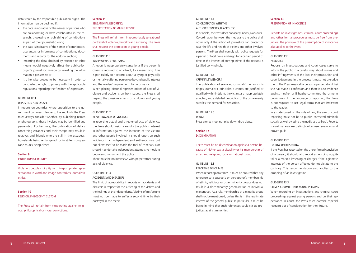data stored by the responsible publication organ. The information may be declined if:

- the data is indicative of the names of persons who are collaborating or have collaborated in the research, processing or publishing of contributions as part of their journalistic work;
- the data is indicative of the names of contributors, guarantors or informants of contributions, documents and reports for the editorial section;
- imparting the data obtained by research or other means would negatively affect the publication organ's journalistic mission by revealing the information it possesses; or
- it otherwise proves to be necessary in order to conciliate the right to privacy with the applicable regulations regarding the freedom of expression.

## GUIDELINE 8.11

#### OPPOSITION AND ESCAPE

In reports on countries where opposition to the government can mean danger to life and limb, the Press must always consider whether, by publishing names or photographs, those involved may be identified and persecuted. Furthermore, the publication of details concerning escapees and their escape may result in relatives and friends who are still in the escapees' homelands being endangered, or in still-existing escape-routes being closed.

#### **Section 9** PROTECTION OF DIGNITY

Violating people's dignity with inappropriate representations in word and image contradicts journalistic ethics.

**Section 10** RELIGION, PHILOSOPHY, CUSTOM

The Press will refrain from vituperating against religious, philosophical or moral convictions.

## **Section 11** SENSATIONAL REPORTING, THE PROTECTION OF YOUNG PEOPLE

The Press will refrain from inappropriately sensational portrayal of violence, brutality and suffering. The Press shall respect the protection of young people.

#### GUIDELINE 11.1 INAPPROPRIATE PORTRAYAL

A report is inappropriately sensational if the person it covers is reduced to an object, to a mere thing. This is particularly so if reports about a dying or physically or mentally suffering person go beyond public interest and the readers' requirement for information. When placing pictorial representations of acts of violence and accidents on front pages, the Press shall respect the possible effects on children and young people.

## GUIDELINE 11.2

REPORTING ACTS OF VIOLENCE

In reporting actual and threatened acts of violence, the Press should weigh carefully the public's interest in information against the interests of the victims and other people involved. It should report on such incidents in an independent and authentic way, but not allow itself to be made the tool of criminals. Nor should it undertake independent attempts to mediate between criminals and the police. There must be no interviews with perpetrators during

acts of violence.

#### GUIDELINE 11.3 ACCIDENTS AND DISASTERS

The limit of acceptability in reports on accidents and disasters is respect for the suffering of the victims and the feelings of their dependants. Victims of misfortune must not be made to suffer a second time by their portrayal in the media.

## GUIDELINE 11.4 CO-ORDINATION WITH THE AUTHORITIES/NEWS BLACKOUTS'

In principle, the Press does not accept news .blackouts'. Co-ordination between the media and the police shall occur only if the action of journalists can protect or save the life and health of victims and other involved persons. The Press shall comply with police requests for a partial or total news embargo for a certain period of time in the interest of solving crime, if the request is justified convincingly.

#### GUIDELINE 11.5 CRIMINALS' MEMOIRS

The publication of so-called criminals' memoirs infringes journalistic principles if crimes are justified or qualified with hindsight, the victims are inappropriately affected, and a detailed description of the crime merely satisfies the demand for sensation.

#### GUIDELINE 11.6

DRUGS

Press stories must not play down drug abuse.

## **Section 12** DISCRIMINATION

There must be no discrimination against a person because of his/her sex, a disability or his membership of an ethnic, religious, social or national group.

## GUIDELINE 12.1

REPORTING ON CRIMES

When reporting on crimes, it must be ensured that any reference to a suspect's or perpetrator's membership of ethnic, religious or other minority groups does not result in a discriminatory generalisation of individual misconduct. As a rule, membership of a minority group shall not be mentioned, unless this is in the legitimate interest of the general public. In particular, it must be borne in mind that such references could stir up prejudices against minorities.

## **Section 13** PRESUMPTION OF INNOCENCE

Reports on investigations, criminal court proceedings and other formal procedures must be free from prejudice. The principle of the presumption of innocence also applies to the Press.

#### GUIDELINE 13.1 **PREJUDICE**

Reports on investigations and court cases serve to inform the public in a careful way about crimes and other infringements of the law, their prosecution and court judgement. In the process it must not prejudge them. The Press may call a person a perpetrator if he/ she has made a confession and there is also evidence against him/her or if he/she committed the crime in public view. In the language of reporting, the Press is not required to use legal terms that are irrelevant to the reader.

In a state based on the rule of law, the aim of court reporting must not be to punish convicted criminals socially as well by using the media as a ,pillory'. Reports should make a clear distinction between suspicion and proven guilt.

#### GUIDELINE 13.2 FOLLOW-ON REPORTING

If the Press has reported on the unconfirmed conviction of a person, it should also report an ensuing acquittal or a marked lessening of charges if the legitimate interests of the person affected do not dictate to the contrary. This recommendation also applies to the dropping of an investigation.

#### GUIDELINE 13.3

#### CRIMES COMMITTED BY YOUNG PERSONS

When reporting on investigations and criminal court proceedings against young persons and on their appearance in court, the Press must exercise especial restraint out of consideration for their future.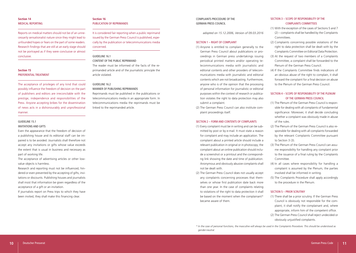## **Section 14** MEDICAL REPORTING

Reports on medical matters should not be of an unnecessarily sensationalist nature since they might lead to unfounded hopes or fears on the part of some readers. Research findings that are still at an early stage should not be portrayed as if they were conclusive or almost conclusive.

### **Section 15** PREFERENTIAL TREATMENT

The acceptance of privileges of any kind that could possibly influence the freedom of decision on the part of publishers and editors are irreconcilable with the prestige, independence and responsibilities of the Press. Anyone accepting bribes for the dissemination of news acts in a dishonourably and unprofessional manner.

#### GUIDELINE 15.1

#### INVITATIONS AND GIFTS

Even the appearance that the freedom of decision of a publishing house and its editorial staff can be impaired is to be avoided. Journalists shall therefore not accept any invitations or gifts whose value exceeds the extent that is usual in business and necessary as part of working life.

The acceptance of advertising articles or other lowvalue objects is harmless.

Research and reporting must not be influenced, hindered or even prevented by the accepting of gifts, invitations or discounts. Publishing houses and journalists shall insist that information be given regardless of the acceptance of a gift or an invitation.

If journalists report on Press trips to which they have been invited, they shall make this financing clear.

#### **Section 16** PUBLICATION OF REPRIMANDS

It is considered fair reporting when a public reprimand issued by the German Press Council is published, especially by the publication or telecommunications media concerned.

#### GUIDELINE 16.1

CONTENT OF THE PUBLIC REPRIMAND

The reader must be informed of the facts of the reprimanded article and of the journalistic principle the article violated.

#### GUIDELINE 16.2 MANNER OF PUBLISHING REPRIMANDS

Reprimands must be published in the publications or telecommunications media in an appropriate form. In telecommunications media the reprimands must be linked to the reprimanded article.

#### COMPLAINTS PROCEDURE OF THE GERMAN PRESS COUNCIL

*adopted on 15.12.2006, Version of 09.03.2016*

#### SECTION 1 – RIGHT OF COMPLAINT

(1) Anyone is entitled to complain generally to the German Press Council about publications or proceedings in German press undertakings issuing periodical printed matters and/or operating telecommunications media with journalistic and editorial contents and other providers of telecommunications media with journalistic and editorial contents which are not broadcasting. Furthermore, anyone who is of the opinion that the processing of personal information for journalistic or editorial purposes within the context of research or publication violates the right to data protection may also submit a complaint.

(2) The German Press Council can also institute complaint proceedings itself.

#### SECTION 2 – FORM AND CONTENTS OF COMPLAINTS

- (1) Every complaint must be in writing and can be submitted by post or by e-mail. It must state a reason for complaint and may include an application. The complaint about a printed article should include a relevant publication in original or in photocopy; the complaint about an online publication should include a screenshot or a printout and the corresponding link showing the date and time of publication. Anonymous and obviously abusive complaints shall not be dealt with.
- (2) The German Press Council does not usually accept any complaints concerning processes that themselves or whose first publication date back more than one year. In the case of complaints relating to violations of the right to data protection it shall be based on the moment when the complainant\* became aware of them.

## SECTION 3 – SCOPE OF RESPONSIBILITY OF THE COMPLAINTS COMMITTEES

- (1) With the exception of the cases of Sections 5 and 7 (2) – complaints shall be handled by the Complaints **Committees**
- (2) Complaints concerning possible violations of the right to data protection shall be dealt with by the Complaints Committee on Editorial Data Protection.
- (3) At the request of two members of a Complaints Committee, a complaint shall be forwarded to the Plenum of the German Press Council.
- (4) If the Complaints Committee finds indications of an obvious abuse of the right to complain, it shall forward the complaint for a final decision on abuse to the Plenum of the German Press Council.

## SECTION 4 – SCOPE OF RESPONSIBILITY OF THE PLENUM OF THE GERMAN PRESS COUNCIL

- (1) The Plenum of the German Press Council is responsible for dealing with all complaints of fundamental significance. Moreover, it shall decide concluding whether a complaint was obviously made in abuse of the rules.
- (2) The Plenum of the German Press Council is also responsible for dealing with all complaints forwarded by the relevant Complaints Committee pursuant to Section 3 (3).
- (3) The Plenum of the German Press Council can assume responsibility for handling any complaint prior to the issuance of a final ruling by the Complaints Committee.
- (4) In all cases where responsibility for handling a complaint is assumed by the Plenum, the parties involved shall be informed in writing.
- (5) The Complaints Procedure shall apply accordingly to the procedure in the Plenum.

#### SECTION 5 – PRIOR SCRUTINY

- (1) There shall be a prior scrutiny. If the German Press Council is obviously not responsible for the complaint, it shall notify the complainant and, where appropriate, inform him of the competent office.
- (2) The German Press Council shall reject undecided or obviously unjustified complaints.

*\* In the case of personal functions, the masculine will always be used in the Complaints Procedure. This should be understood as gender-neutral.*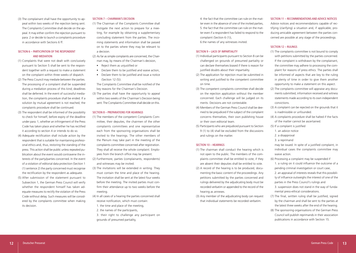(3) The complainant shall have the opportunity to appeal within two weeks of the rejection being sent. The Complaints Committee shall decide on the appeal. It may either confirm the rejection pursuant to para. 2 or decide to launch a complaints procedure in accordance with Sections 6 ff.

### SECTION 6 – PARTICIPATION OF THE RESPONDENT AND MEDIATION

- (1) Complaints that were not dealt with conclusively pursuant to Section 5 shall be sent to the respondent together with a request to make a statement on the complaint within three weeks of dispatch.
- (2) The Press Council may mediate between the parties. The processing of a complaint shall be suspended during a mediation process of this kind; deadlines shall be deferred. In the event of successful mediation, the complaints procedure shall be ended. If a solution by mutual agreement is not reached, the complaints procedure shall be continued.
- (3) The respondent shall be informed of the possibility to check for himself, before expiry of the deadline under para. 1, whether an infringement of the Press Code has taken place and whether he has rectified it according to section 4 or intends to do so.
- (4) Adequate rectification shall include action by the respondent that is suitable for maintaining professional ethics and, thus, restoring the standing of the press. This action shall be public unless repeated publication about the event would contravene the interests of the party/parties concerned. In the event of a violation of editorial data protection (Section 1 (1) sentence 2) the party concerned must recognise the rectification by the respondent as adequate.
- (5) After submission of the statement pursuant to Subsection 1, the German Press Council will verify whether the respondent himself has taken adequate measures to rectify the violation of the Press Code without delay. Such measures will be considered by the complaints committee when making its decision.

#### SECTION 7 – CHAIRMAN'S DECISION

- (1) The Chairman of the Complaints Committee shall instigate the next action to prepare for a meeting, for example by obtaining a supplementary concluding statement from the parties. The incoming statements and information shall be passed on to the parties where they may be relevant to a decision.
- (2) As far as simple complaints are concerned, the Chairman may, by means of the Chairman's decision,
- Reject them as unjustified or
- Declare them to be justified and waive action,
- Declare them to be justified and issue a notice (Section 12 (5)).
- The Complaints Committee shall be notified of the key reasons for the Chairman's Decision.
- (3) The parties shall have the opportunity to appeal within two weeks of the Chairman's Decision being sent. The Complaints Committee shall decide on this.

#### SECTION 8 – PREPARATIONS FOR HEARINGS

- (1) The members of the competent Complaints Committee, their deputies, the chairmen of the other complaints committees and one representative each from the sponsoring organisations shall be invited to the hearings. The other members of the Plenum may take part in the meeting of the complaints committee concerned after registration. They shall all receive the whole complaint. Employees from the branch office may be present.
- (2) Furthermore, parties (complainants, respondents) and witnesses may be invited.
- (3) The invitations will be extended in writing. They must contain the time and place of the hearing. The invitation shall be sent at the latest four weeks before the meeting. The invited parties must confirm their attendance up to two weeks before the meeting.
- (4) In all cases of a hearing the parties concerned shall receive notification, which must contain:
	- 1. the time and place of the meeting,
	- 2. the names of the participants,
- 3. their right to challenge any participant on grounds of presumed partiality,

4. the fact that the committee can rule on the matter even in the absence of one of the invited parties, 5. the fact that the committee can rule on the matter even if a respondent has failed to respond to the complaint (Section 6 (1)),

6.the names of any witnesses invited.

#### SECTION 9 – LACK OF IMPARTIALITY

- (1) Individual participants pursuant to Section 8 can be challenged on grounds of presumed partiality or can declare themselves biased if there is reason for justified doubts about their impartiality.
- (2) The application for rejection must be submitted in writing and justified to the competent committee on time.
- (3) The competent complaints committee shall decide on the rejection application without the member concerned. Each challenge will be judged on its merits. Decisions are not contestable.
- (4) Members of the German Press Council shall be deemed to be prejudiced if the subject of the complaint concerns themselves, their own publishing house or their own editorial team.
- (5) Participants who are prejudiced pursuant to Section 9 (1) to (4) shall be excluded from the discussions and rulings on the matter.

#### SECTION 10 – HEARINGS

- (1) The chairman shall conduct the hearing which is not open to the public. The members of the complaints committee shall be entitled to vote; if they are absent their deputies shall be entitled to vote.
- (2) A record of the hearing is to be produced, documenting the basic content of the proceedings. Any petitions submitted by the parties concerned and rulings delivered by the adjudicating body must be recorded verbatim or appended to the record of the hearing as annexes.
- (3) Any member of the adjudicating body can request that individual statements be recorded verbatim.

#### SECTION 11 – RECOMMENDATIONS AND ADVICE NOTICES

Advice notices and recommendations capable of rectifying (clarifying) a situation and, if applicable, producing amicable agreement between the parties concerned are possible at any stage of the proceedings.

#### SECTION 12 – RULINGS

- (1) The complaints committee is not bound to comply with petitions submitted by the parties concerned. If the complaint is withdrawn by the complainant, the committee may adhere to processing the complaint for reasons of press ethics. The parties shall be informed of aspects that are key to the ruling in plenty of time in order to give them another opportunity to make a statement on this aspect.
- (2) The complaints committee will appraise any documents submitted, information received and witness statements made according to its own independent convictions.
- (3) A complaint can be rejected on the grounds that it is inadmissible or unfounded.
- (4) A complaints procedure shall be halted if the facts of the matter cannot be ascertained.
- (5) If a complaint is justified
	- 1. an advice notice
	- 2. a disapproval
	- 3. a reprimand
	- may be issued. In spite of a justified complaint, in individual cases the complaints committee may waive action.
- (6) Processing a complaint may be suspended if 1. a ruling on it could influence the outcome of a
- pending criminal investigation or court case,
- 2. an appraisal of interests reveals that this possibility of influence outweighs the interest of one of the parties in the Press Council's rulings and
- 3. suspension does not stand in the way of fundamental press-ethical considerations.
- (7) The final, written ruling shall be justified, signed by the chairman and shall be sent to the parties at the latest three weeks after the end of the hearing. (8) The sponsoring organisations of the German Press Council will publish reprimands in their association publications in accordance with Section 15.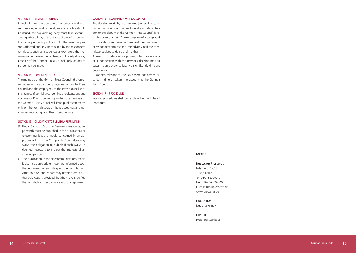#### SECTION 13 – BASES FOR RULINGS

In weighing up the question of whether a notice of censure, a reprimand or merely an advice notice should be issued, the adjudicating body must take account, among other things, of the gravity of the infringement, the consequences of publication for the person or per sons affected and any steps taken by the respondent to mitigate such consequences and/or avoid their re currence. In the event of a change in the adjudicatory practice of the German Press Council, only an advice notice may be issued.

#### SECTION 14 – CONFIDENTIALITY

The members of the German Press Council, the repre sentatives of the sponsoring organisations in the Press Council and the employees of the Press Council shall maintain confidentiality concerning the discussions and documents. Prior to delivering a ruling, the members of the German Press Council will issue public statements only on the formal status of the proceedings and not in a way indicating how they intend to vote.

#### SECTION 15 – OBLIGATION TO PUBLISH A REPRIMAND

- (1) Under Section 16 of the German Press Code, re primands must be published in the publications or telecommunications media concerned in an ap propriate form. The Complaints Committee may waive the obligation to publish if such waiver is deemed necessary to protect the interests of an affected person.
- (2) The publication in the telecommunications media is deemed appropriate if user are informed about the reprimand when calling up the contribution. After 30 days, the editors may refrain from a fur ther publication, provided that they have modified the contribution in accordance with the reprimand.

#### SECTION 16 – RESUMPTION OF PROCEEDINGS

The decision made by a committee (complaints com mittee, complaints committee for editorial data protec tion or the plenum of the German Press Council) is re visable by resumption. The resumption of a completed complaints procedure is permissible if the complainant or respondent applies for it immediately or if the com mittee decides to do so and if either

1. new circumstances are proven, which are – alone or in connection with the previous decision-making bases – appropriate to justify a significantly different decision, or

2. aspects relevant to the issue were not communi cated in time or taken into account by the German Press Council.

#### SECTION 17 – PROCEDURES

Internal procedures shall be regulated in the Rules of Procedure.

#### IMPRINT:

#### **Deutscher Presserat**

Fritschestr. 27/28 10585 Berlin Tel: 030- 367007-0 Fax: 030- 367007-20 E-Mail: info@presserat.de www.presserat.de

PRODUCTION: lege artis GmbH

#### PRINTER: Druckerei Carthaus